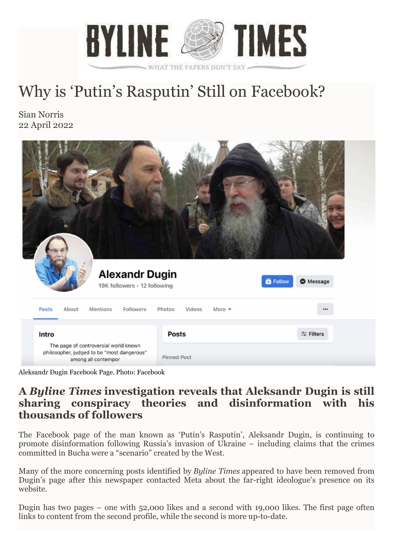

## Why is 'Putin's Rasputin' Still on Facebook?

Sian Norris 22 April 2022



Aleksandr Dugin Facebook Page. Photo: Facebook

## **A** *Byline Times* **investigation reveals that Aleksandr Dugin is still sharing conspiracy theories and disinformation with his thousands of followers**

The Facebook page of the man known as 'Putin's Rasputin', Aleksandr Dugin, is continuing to promote disinformation following Russia's invasion of Ukraine – including claims that the crimes committed in Bucha were a "scenario" created by the West.

Many of the more concerning posts identified by *Byline Times* appeared to have been removed from Dugin's page after this newspaper contacted Meta about the far-right ideologue's presence on its website.

Dugin has two pages – one with 52,000 likes and a second with 19,000 likes. The first page often links to content from the second profile, while the second is more up-to-date.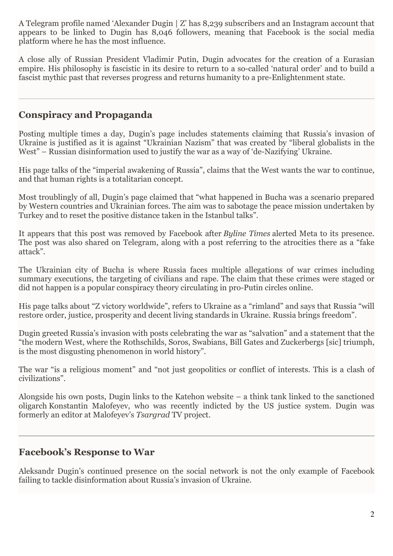A Telegram profile named 'Alexander Dugin | Z' has 8,239 subscribers and an Instagram account that appears to be linked to Dugin has 8,046 followers, meaning that Facebook is the social media platform where he has the most influence.

A close ally of Russian President Vladimir Putin, Dugin advocates for the creation of a Eurasian empire. His philosophy is fascistic in its desire to return to a so-called 'natural order' and to build a fascist mythic past that reverses progress and returns humanity to a pre-Enlightenment state.

## **Conspiracy and Propaganda**

Posting multiple times a day, Dugin's page includes statements claiming that Russia's invasion of Ukraine is justified as it is against "Ukrainian Nazism" that was created by "liberal globalists in the West" – Russian disinformation used to justify the war as a way of 'de-Nazifying' Ukraine.

His page talks of the "imperial awakening of Russia", claims that the West wants the war to continue, and that human rights is a totalitarian concept.

Most troublingly of all, Dugin's page claimed that "what happened in Bucha was a scenario prepared by Western countries and Ukrainian forces. The aim was to sabotage the peace mission undertaken by Turkey and to reset the positive distance taken in the Istanbul talks".

It appears that this post was removed by Facebook after *Byline Times* alerted Meta to its presence. The post was also shared on Telegram, along with a post referring to the atrocities there as a "fake attack".

The Ukrainian city of Bucha is where Russia faces multiple allegations of war crimes including summary executions, the targeting of civilians and rape. The claim that these crimes were staged or did not happen is a popular conspiracy theory circulating in pro-Putin circles online.

His page talks about "Z victory worldwide", refers to Ukraine as a "rimland" and says that Russia "will restore order, justice, prosperity and decent living standards in Ukraine. Russia brings freedom".

Dugin greeted Russia's invasion with posts celebrating the war as "salvation" and a statement that the "the modern West, where the Rothschilds, Soros, Swabians, Bill Gates and Zuckerbergs [sic] triumph, is the most disgusting phenomenon in world history".

The war "is a religious moment" and "not just geopolitics or conflict of interests. This is a clash of civilizations".

Alongside his own posts, Dugin links to the Katehon website – a think tank linked to the sanctioned oligarch Konstantin Malofeyev, who was recently indicted by the US justice system. Dugin was formerly an editor at Malofeyev's *Tsargrad* TV project.

## **Facebook's Response to War**

Aleksandr Dugin's continued presence on the social network is not the only example of Facebook failing to tackle disinformation about Russia's invasion of Ukraine.